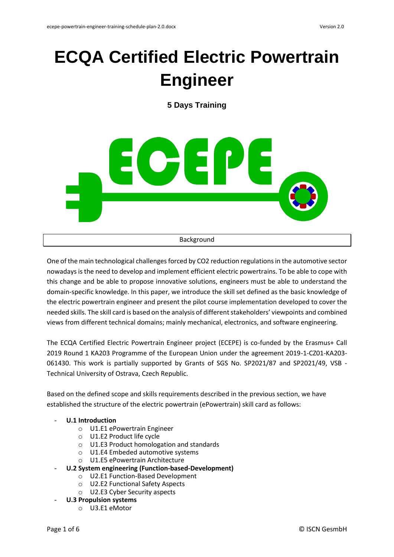# **ECQA Certified Electric Powertrain Engineer**

**5 Days Training**



One of the main technological challenges forced by CO2 reduction regulations in the automotive sector nowadays is the need to develop and implement efficient electric powertrains. To be able to cope with this change and be able to propose innovative solutions, engineers must be able to understand the domain-specific knowledge. In this paper, we introduce the skill set defined as the basic knowledge of the electric powertrain engineer and present the pilot course implementation developed to cover the needed skills. The skill card is based on the analysis of different stakeholders' viewpoints and combined views from different technical domains; mainly mechanical, electronics, and software engineering.

The ECQA Certified Electric Powertrain Engineer project (ECEPE) is co-funded by the Erasmus+ Call 2019 Round 1 KA203 Programme of the European Union under the agreement 2019-1-CZ01-KA203- 061430. This work is partially supported by Grants of SGS No. SP2021/87 and SP2021/49, VSB - Technical University of Ostrava, Czech Republic.

Based on the defined scope and skills requirements described in the previous section, we have established the structure of the electric powertrain (ePowertrain) skill card as follows:

# - **U.1 Introduction**

- o U1.E1 ePowertrain Engineer
- o U1.E2 Product life cycle
- o U1.E3 Product homologation and standards
- o U1.E4 Embeded automotive systems
- o U1.E5 ePowertrain Architecture
- **U.2 System engineering (Function-based-Development)**
	- o U2.E1 Function-Based Development
	- o U2.E2 Functional Safety Aspects
	- o U2.E3 Cyber Security aspects
- **U.3 Propulsion systems**
	- o U3.E1 eMotor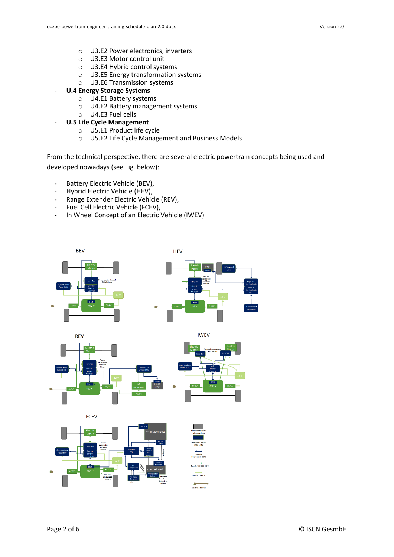- o U3.E2 Power electronics, inverters
- o U3.E3 Motor control unit
- o U3.E4 Hybrid control systems
- o U3.E5 Energy transformation systems
- o U3.E6 Transmission systems
- **U.4 Energy Storage Systems**
	- o U4.E1 Battery systems
	- o U4.E2 Battery management systems
	- o U4.E3 Fuel cells
	- **U.5 Life Cycle Management** 
		- o U5.E1 Product life cycle
		- o U5.E2 Life Cycle Management and Business Models

From the technical perspective, there are several electric powertrain concepts being used and developed nowadays (see Fig. below):

- Battery Electric Vehicle (BEV),
- Hybrid Electric Vehicle (HEV),
- Range Extender Electric Vehicle (REV),
- Fuel Cell Electric Vehicle (FCEV),
- In Wheel Concept of an Electric Vehicle (IWEV)

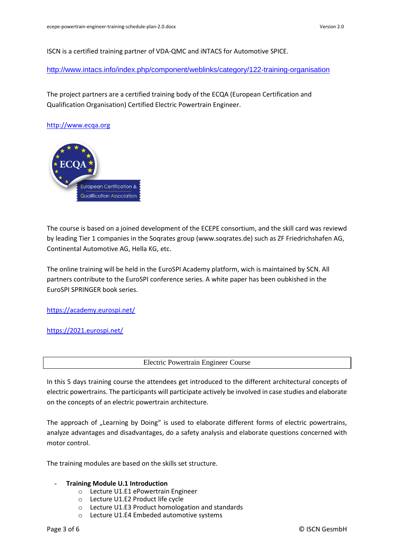ISCN is a certified training partner of VDA-QMC and iNTACS for Automotive SPICE.

<http://www.intacs.info/index.php/component/weblinks/category/122-training-organisation>

The project partners are a certified training body of the ECQA (European Certification and Qualification Organisation) Certified Electric Powertrain Engineer.

#### [http://www.ecqa.org](http://www.ecqa.org/)



The course is based on a joined development of the ECEPE consortium, and the skill card was reviewd by leading Tier 1 companies in the Soqrates group (www.soqrates.de) such as ZF Friedrichshafen AG, Continental Automotive AG, Hella KG, etc.

The online training will be held in the EuroSPI Academy platform, wich is maintained by SCN. All partners contribute to the EuroSPI conference series. A white paper has been oubkished in the EuroSPI SPRINGER book series.

<https://academy.eurospi.net/>

<https://2021.eurospi.net/>

Electric Powertrain Engineer Course

In this 5 days training course the attendees get introduced to the different architectural concepts of electric powertrains. The participants will participate actively be involved in case studies and elaborate on the concepts of an electric powertrain architecture.

The approach of "Learning by Doing" is used to elaborate different forms of electric powertrains, analyze advantages and disadvantages, do a safety analysis and elaborate questions concerned with motor control.

The training modules are based on the skills set structure.

#### - **Training Module U.1 Introduction**

- o Lecture U1.E1 ePowertrain Engineer
- o Lecture U1.E2 Product life cycle
- o Lecture U1.E3 Product homologation and standards
- o Lecture U1.E4 Embeded automotive systems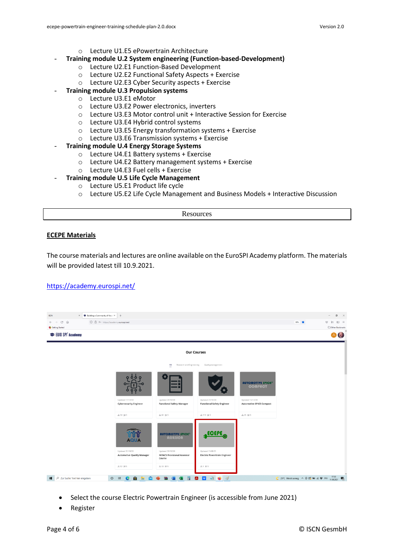- o Lecture U1.E5 ePowertrain Architecture
- **Training module U.2 System engineering (Function-based-Development)**
	- o Lecture U2.E1 Function-Based Development
	- o Lecture U2.E2 Functional Safety Aspects + Exercise
	- o Lecture U2.E3 Cyber Security aspects + Exercise

# - **Training module U.3 Propulsion systems**

- o Lecture U3.E1 eMotor
	- o Lecture U3.E2 Power electronics, inverters
	- o Lecture U3.E3 Motor control unit + Interactive Session for Exercise
	- o Lecture U3.E4 Hybrid control systems
	- o Lecture U3.E5 Energy transformation systems + Exercise
	- o Lecture U3.E6 Transmission systems + Exercise
- **Training module U.4 Energy Storage Systems**
	- o Lecture U4.E1 Battery systems + Exercise
	- o Lecture U4.E2 Battery management systems + Exercise
	- o Lecture U4.E3 Fuel cells + Exercise
- **Training module U.5 Life Cycle Management** 
	- o Lecture U5.E1 Product life cycle
	- o Lecture U5.E2 Life Cycle Management and Business Models + Interactive Discussion

Resources

#### **ECEPE Materials**

The course materials and lectures are online available on the EuroSPI Academy platform. The materials will be provided latest till 10.9.2021.

#### <https://academy.eurospi.net/>



- Select the course Electric Powertrain Engineer (is accessible from June 2021)
- Register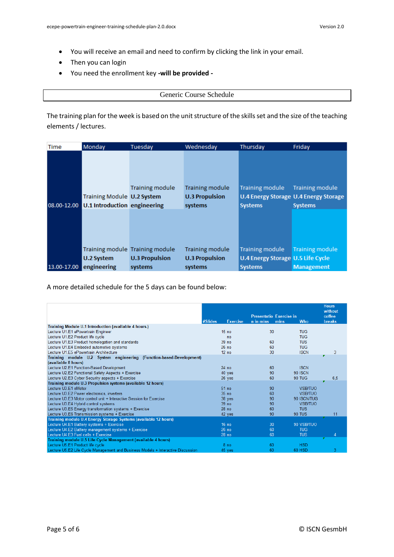- You will receive an email and need to confirm by clicking the link in your email.
- Then you can login
- You need the enrollment key **-will be provided -**

#### Generic Course Schedule

The training plan for the week is based on the unit structure of the skills set and the size of the teaching elements / lectures.

| <b>Time</b> | Monday                              | Tuesdav                         | Wednesday              | Thursday                                 | Friday                                |
|-------------|-------------------------------------|---------------------------------|------------------------|------------------------------------------|---------------------------------------|
|             |                                     |                                 |                        |                                          |                                       |
|             |                                     |                                 |                        |                                          |                                       |
|             |                                     |                                 |                        |                                          |                                       |
|             |                                     |                                 |                        |                                          |                                       |
|             |                                     | <b>Training module</b>          | <b>Training module</b> | <b>Training module</b>                   | <b>Training module</b>                |
|             | Training Module U.2 System          |                                 | <b>U.3 Propulsion</b>  |                                          | U.4 Energy Storage U.4 Energy Storage |
| 08.00-12.00 | <b>U.1 Introduction engineering</b> |                                 | systems                | <b>Systems</b>                           | <b>Systems</b>                        |
|             |                                     |                                 |                        |                                          |                                       |
|             |                                     |                                 |                        |                                          |                                       |
|             |                                     |                                 |                        |                                          |                                       |
|             |                                     |                                 |                        |                                          |                                       |
|             |                                     | Training module Training module | <b>Training module</b> | Training module                          | <b>Training module</b>                |
|             | U.2 System                          | <b>U.3 Propulsion</b>           | <b>U.3 Propulsion</b>  | <b>U.4 Energy Storage U.5 Life Cycle</b> |                                       |
| 13.00-17.00 | engineering                         | systems                         | systems                | <b>Systems</b>                           | <b>Management</b>                     |

A more detailed schedule for the 5 days can be found below:

|                                                                                  | #Slides<br><b>Exercise</b> | <b>Presentatio Exercise in</b><br>n in mins<br>mins | <b>Who</b>     | <b>Hours</b><br>without<br>coffee<br><b>breaks</b> |
|----------------------------------------------------------------------------------|----------------------------|-----------------------------------------------------|----------------|----------------------------------------------------|
| Training Module U.1 Introduction (available 4 hours.)                            |                            |                                                     |                |                                                    |
| Lecture U1.E1 ePowertrain Engineer                                               | 15 <sub>no</sub>           | 30                                                  | <b>TUG</b>     |                                                    |
| Lecture U1.E2 Product life cycle                                                 | no                         |                                                     | <b>TUG</b>     |                                                    |
| Lecture U1.E3 Product homologation and standards                                 | 39 no                      | 60                                                  | <b>TUS</b>     |                                                    |
| Lecture U1.E4 Embeded automotive systems                                         | 26 <sub>no</sub>           | 60                                                  | <b>TUG</b>     |                                                    |
| Lecture U1.E5 ePowertrain Architecture                                           | 12 <sub>no</sub>           | 30                                                  | <b>ISCN</b>    | 3                                                  |
| Training module U.2 System engineering (Function-based-Development)              |                            |                                                     |                |                                                    |
| (available 8 hours)                                                              |                            |                                                     |                |                                                    |
| Lecture U2.E1 Function-Based Development                                         | 24 <sub>no</sub>           | 60                                                  | <b>ISCN</b>    |                                                    |
| Lecture U2.E2 Functional Safety Aspects + Exercise                               | 40 yes                     | 90                                                  | <b>90 ISCN</b> |                                                    |
| Lecture U2.E3 Cyber Security aspects + Exercise                                  | 26 yes                     | 60                                                  | <b>90 TUG</b>  | 6,5                                                |
| Training module U.3 Propulsion systems (available 12 hours)                      |                            |                                                     |                |                                                    |
| Lecture U3 E1 eMotor                                                             | 51 <sub>no</sub>           | 90                                                  | <b>VSB/TUO</b> |                                                    |
| Lecture U3.E2 Power electronics, inverters                                       | 35 no                      | 60                                                  | <b>VSB/TUO</b> |                                                    |
| Lecture U3.E3 Motor control unit + Interactive Session for Exercise              | 38 yes                     | 90                                                  | 90 ISCN/TUG    |                                                    |
| Lecture U3.E4 Hybrid control systems                                             | 39 no                      | 90                                                  | <b>VSB/TUO</b> |                                                    |
| Lecture U3.E5 Energy transformation systems + Exercise                           | 28 <sub>no</sub>           | 60                                                  | <b>TUS</b>     |                                                    |
| Lecture U3.E6 Transmission systems + Exercise                                    | 42 yes                     | 90                                                  | <b>90 TUS</b>  | 11                                                 |
| Training module U.4 Energy Storage Systems (available 12 hours)                  |                            |                                                     |                |                                                    |
| Lecture U4.E1 Battery systems + Exercise                                         | 16 <sub>no</sub>           | 30                                                  | 90 VSB/TUO     |                                                    |
| Lecture U4.E2 Battery management systems + Exercise                              | 26 <sub>no</sub>           | 60                                                  | <b>TUG</b>     |                                                    |
| Lecture U4.E3 Fuel cells + Exercise                                              | 28 <sub>no</sub>           | 60                                                  | <b>TUS</b>     | 4                                                  |
| Training module U.5 Life Cycle Management (available 4 hours)                    |                            |                                                     |                |                                                    |
| Lecture U5.E1 Product life cycle                                                 | 8 <sub>no</sub>            | 60                                                  | <b>HSD</b>     |                                                    |
| Lecture U5.E2 Life Cycle Management and Business Models + Interactive Discussion | 45 yes                     | 60                                                  | <b>60 HSD</b>  | 3                                                  |